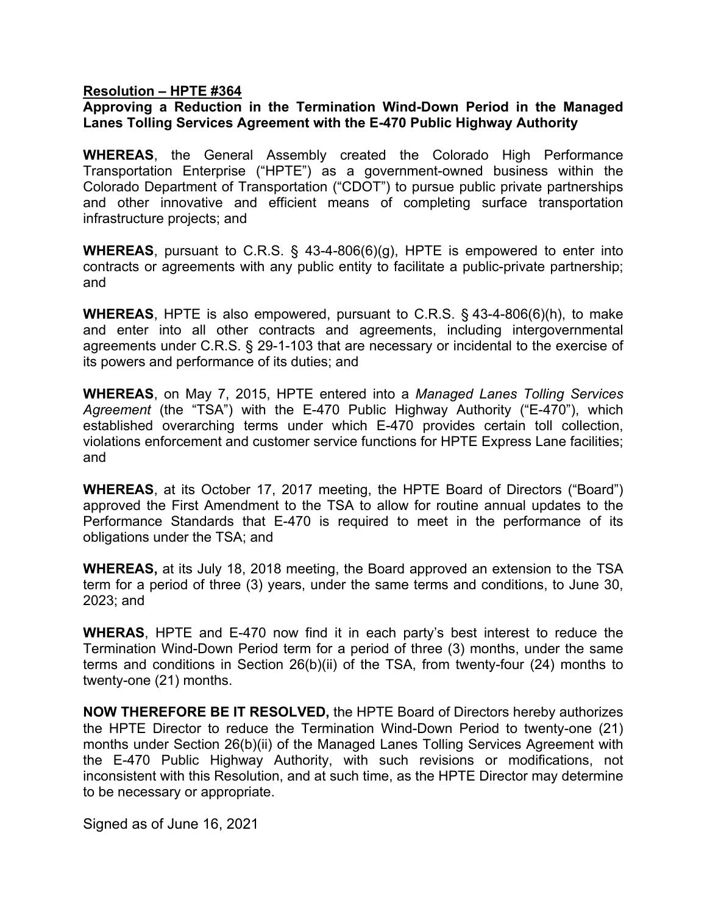## **Resolution – HPTE #364**

## **Approving a Reduction in the Termination Wind-Down Period in the Managed Lanes Tolling Services Agreement with the E-470 Public Highway Authority**

**WHEREAS**, the General Assembly created the Colorado High Performance Transportation Enterprise ("HPTE") as a government-owned business within the Colorado Department of Transportation ("CDOT") to pursue public private partnerships and other innovative and efficient means of completing surface transportation infrastructure projects; and

**WHEREAS**, pursuant to C.R.S. § 43-4-806(6)(g), HPTE is empowered to enter into contracts or agreements with any public entity to facilitate a public-private partnership; and

**WHEREAS**, HPTE is also empowered, pursuant to C.R.S. § 43-4-806(6)(h), to make and enter into all other contracts and agreements, including intergovernmental agreements under C.R.S. § 29-1-103 that are necessary or incidental to the exercise of its powers and performance of its duties; and

**WHEREAS**, on May 7, 2015, HPTE entered into a *Managed Lanes Tolling Services Agreement* (the "TSA") with the E-470 Public Highway Authority ("E-470"), which established overarching terms under which E-470 provides certain toll collection, violations enforcement and customer service functions for HPTE Express Lane facilities; and

**WHEREAS**, at its October 17, 2017 meeting, the HPTE Board of Directors ("Board") approved the First Amendment to the TSA to allow for routine annual updates to the Performance Standards that E-470 is required to meet in the performance of its obligations under the TSA; and

**WHEREAS,** at its July 18, 2018 meeting, the Board approved an extension to the TSA term for a period of three (3) years, under the same terms and conditions, to June 30, 2023; and

**WHERAS**, HPTE and E-470 now find it in each party's best interest to reduce the Termination Wind-Down Period term for a period of three (3) months, under the same terms and conditions in Section 26(b)(ii) of the TSA, from twenty-four (24) months to twenty-one (21) months.

**NOW THEREFORE BE IT RESOLVED,** the HPTE Board of Directors hereby authorizes the HPTE Director to reduce the Termination Wind-Down Period to twenty-one (21) months under Section 26(b)(ii) of the Managed Lanes Tolling Services Agreement with the E-470 Public Highway Authority, with such revisions or modifications, not inconsistent with this Resolution, and at such time, as the HPTE Director may determine to be necessary or appropriate.

Signed as of June 16, 2021